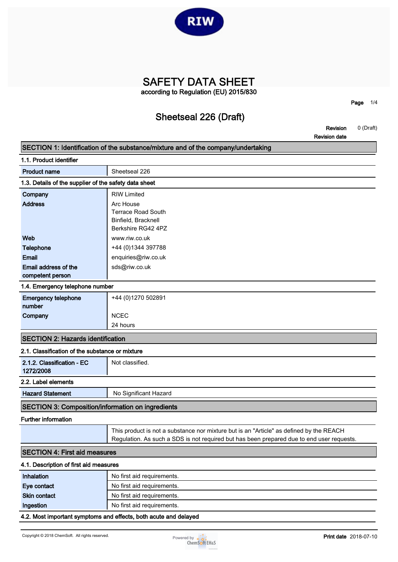

**SAFETY DATA SHEET according to Regulation (EU) 2015/830**

### **Sheetseal 226 (Draft)**

**Page 1/4**

**Revision 0 (Draft) Revision date**

|                                                          | Revision date                                                                             |
|----------------------------------------------------------|-------------------------------------------------------------------------------------------|
|                                                          | SECTION 1: Identification of the substance/mixture and of the company/undertaking         |
| 1.1. Product identifier                                  |                                                                                           |
| <b>Product name</b>                                      | Sheetseal 226                                                                             |
| 1.3. Details of the supplier of the safety data sheet    |                                                                                           |
| Company                                                  | <b>RIW Limited</b>                                                                        |
| <b>Address</b>                                           | Arc House                                                                                 |
|                                                          | <b>Terrace Road South</b>                                                                 |
|                                                          | Binfield, Bracknell                                                                       |
|                                                          | Berkshire RG42 4PZ                                                                        |
| Web                                                      | www.riw.co.uk                                                                             |
| Telephone                                                | +44 (0) 1344 397788                                                                       |
| <b>Email</b>                                             | enquiries@riw.co.uk                                                                       |
| Email address of the                                     | sds@riw.co.uk                                                                             |
| competent person                                         |                                                                                           |
| 1.4. Emergency telephone number                          |                                                                                           |
| <b>Emergency telephone</b>                               | +44 (0)1270 502891                                                                        |
| number                                                   |                                                                                           |
| Company                                                  | <b>NCEC</b>                                                                               |
|                                                          | 24 hours                                                                                  |
| <b>SECTION 2: Hazards identification</b>                 |                                                                                           |
| 2.1. Classification of the substance or mixture          |                                                                                           |
| 2.1.2. Classification - EC                               | Not classified.                                                                           |
| 1272/2008                                                |                                                                                           |
| 2.2. Label elements                                      |                                                                                           |
| <b>Hazard Statement</b>                                  | No Significant Hazard                                                                     |
| <b>SECTION 3: Composition/information on ingredients</b> |                                                                                           |
| <b>Further information</b>                               |                                                                                           |
|                                                          | This product is not a substance nor mixture but is an "Article" as defined by the REACH   |
|                                                          | Regulation. As such a SDS is not required but has been prepared due to end user requests. |
| <b>SECTION 4: First aid measures</b>                     |                                                                                           |
| 4.1. Description of first aid measures                   |                                                                                           |
| Inhalation                                               | No first aid requirements.                                                                |
| Eye contact                                              | No first aid requirements.                                                                |
| <b>Skin contact</b>                                      | No first aid requirements.                                                                |
| Ingestion                                                | No first aid requirements.                                                                |

#### **4.2. Most important symptoms and effects, both acute and delayed**

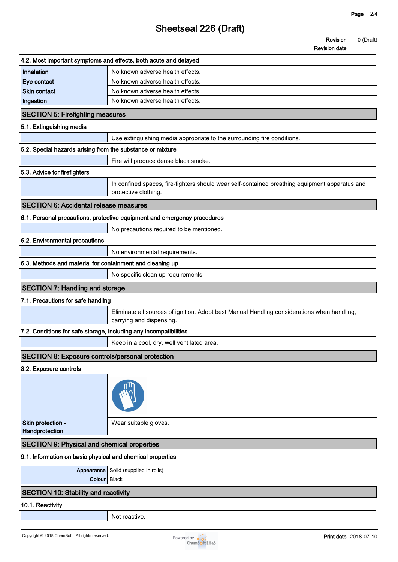# **Sheetseal 226 (Draft)**

### **Revision 0 (Draft)**

**Revision date**

|                                                                   | 4.2. Most important symptoms and effects, both acute and delayed                                                        |
|-------------------------------------------------------------------|-------------------------------------------------------------------------------------------------------------------------|
| Inhalation                                                        | No known adverse health effects.                                                                                        |
| Eye contact                                                       | No known adverse health effects.                                                                                        |
| <b>Skin contact</b>                                               | No known adverse health effects.                                                                                        |
| Ingestion                                                         | No known adverse health effects.                                                                                        |
| <b>SECTION 5: Firefighting measures</b>                           |                                                                                                                         |
| 5.1. Extinguishing media                                          |                                                                                                                         |
|                                                                   | Use extinguishing media appropriate to the surrounding fire conditions.                                                 |
| 5.2. Special hazards arising from the substance or mixture        |                                                                                                                         |
|                                                                   | Fire will produce dense black smoke.                                                                                    |
| 5.3. Advice for firefighters                                      |                                                                                                                         |
|                                                                   | In confined spaces, fire-fighters should wear self-contained breathing equipment apparatus and<br>protective clothing.  |
| <b>SECTION 6: Accidental release measures</b>                     |                                                                                                                         |
|                                                                   | 6.1. Personal precautions, protective equipment and emergency procedures                                                |
|                                                                   | No precautions required to be mentioned.                                                                                |
| 6.2. Environmental precautions                                    |                                                                                                                         |
|                                                                   | No environmental requirements.                                                                                          |
| 6.3. Methods and material for containment and cleaning up         |                                                                                                                         |
|                                                                   | No specific clean up requirements.                                                                                      |
| <b>SECTION 7: Handling and storage</b>                            |                                                                                                                         |
| 7.1. Precautions for safe handling                                |                                                                                                                         |
|                                                                   | Eliminate all sources of ignition. Adopt best Manual Handling considerations when handling,<br>carrying and dispensing. |
| 7.2. Conditions for safe storage, including any incompatibilities |                                                                                                                         |
|                                                                   | Keep in a cool, dry, well ventilated area.                                                                              |
| SECTION 8: Exposure controls/personal protection                  |                                                                                                                         |
| 8.2. Exposure controls                                            |                                                                                                                         |
|                                                                   |                                                                                                                         |
| Skin protection -<br>Handprotection                               | Wear suitable gloves.                                                                                                   |
| <b>SECTION 9: Physical and chemical properties</b>                |                                                                                                                         |
| 9.1. Information on basic physical and chemical properties        |                                                                                                                         |
| Appearance<br>Colour Black                                        | Solid (supplied in rolls)                                                                                               |
| <b>SECTION 10: Stability and reactivity</b>                       |                                                                                                                         |
| 10.1. Reactivity                                                  |                                                                                                                         |
|                                                                   | Not reactive.                                                                                                           |

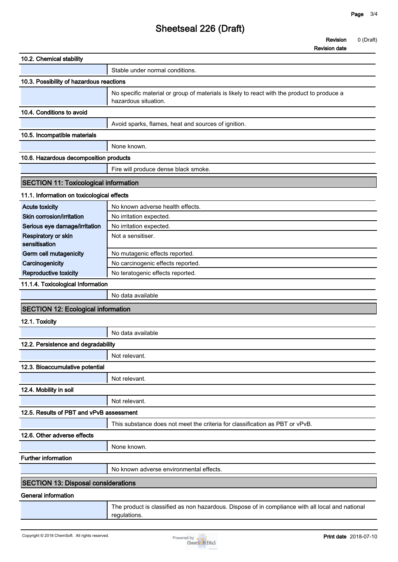# **Sheetseal 226 (Draft)**

**Revision 0 (Draft)**

**Revision date**

| 10.2. Chemical stability                     |                                                                                                                     |
|----------------------------------------------|---------------------------------------------------------------------------------------------------------------------|
|                                              | Stable under normal conditions.                                                                                     |
| 10.3. Possibility of hazardous reactions     |                                                                                                                     |
|                                              | No specific material or group of materials is likely to react with the product to produce a<br>hazardous situation. |
| 10.4. Conditions to avoid                    |                                                                                                                     |
|                                              | Avoid sparks, flames, heat and sources of ignition.                                                                 |
| 10.5. Incompatible materials                 |                                                                                                                     |
|                                              | None known.                                                                                                         |
| 10.6. Hazardous decomposition products       |                                                                                                                     |
|                                              | Fire will produce dense black smoke.                                                                                |
| <b>SECTION 11: Toxicological information</b> |                                                                                                                     |
| 11.1. Information on toxicological effects   |                                                                                                                     |
| <b>Acute toxicity</b>                        | No known adverse health effects.                                                                                    |
| Skin corrosion/irritation                    | No irritation expected.                                                                                             |
| Serious eye damage/irritation                | No irritation expected.                                                                                             |
| Respiratory or skin<br>sensitisation         | Not a sensitiser.                                                                                                   |
| Germ cell mutagenicity                       | No mutagenic effects reported.                                                                                      |
| Carcinogenicity                              | No carcinogenic effects reported.                                                                                   |
| Reproductive toxicity                        | No teratogenic effects reported.                                                                                    |
| 11.1.4. Toxicological Information            |                                                                                                                     |
|                                              | No data available                                                                                                   |
| <b>SECTION 12: Ecological information</b>    |                                                                                                                     |
| 12.1. Toxicity                               |                                                                                                                     |
|                                              | No data available                                                                                                   |
| 12.2. Persistence and degradability          |                                                                                                                     |
|                                              | Not relevant.                                                                                                       |
| 12.3. Bioaccumulative potential              |                                                                                                                     |
|                                              | Not relevant.                                                                                                       |
| 12.4. Mobility in soil                       |                                                                                                                     |
|                                              | Not relevant.                                                                                                       |
| 12.5. Results of PBT and vPvB assessment     |                                                                                                                     |
|                                              | This substance does not meet the criteria for classification as PBT or vPvB.                                        |
| 12.6. Other adverse effects                  |                                                                                                                     |
|                                              | None known.                                                                                                         |
| <b>Further information</b>                   |                                                                                                                     |
|                                              | No known adverse environmental effects.                                                                             |
| <b>SECTION 13: Disposal considerations</b>   |                                                                                                                     |
| <b>General information</b>                   |                                                                                                                     |
|                                              | The product is classified as non hazardous. Dispose of in compliance with all local and national<br>regulations.    |